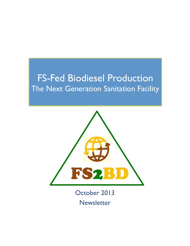### FS-Fed Biodiesel Production The Next Generation Sanitation Facility



October 2013 **Newsletter**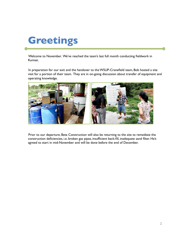# **Greetings**

Welcome to November. We've reached the team's last full month conducting fieldwork in Kumasi.

In preparation for our exit and the handover to the WSUP-Cranefield team, Bob hosted a site visit for a portion of their team. They are in on-going discussion about transfer of equipment and operating knowledge.



Prior to our departure, Beta Construction will also be returning to the site to remediate the construction deficiencies, i.e. broken gas pipes, insufficient back-fill, inadequate sand filter. He's agreed to start in mid-November and will be done before the end of December.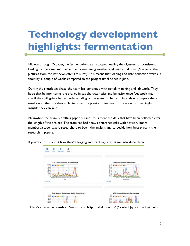# **Technology development highlights: fermentation**

Midway through October, the fermentation team stopped feeding the digesters, as consistent loading had become impossible due to worsening weather and road conditions. (You recall the pictures from the last newsletter, I'm sure!) This means that loading and date collection were cut short by a couple of weeks compared to the project timeline set in June.

During the shutdown phase, the team has continued with sampling, mixing and lab work. They hope that by monitoring the change in gas characteristics and behavior once feedstock was cutoff they will gain a better understanding of the system. The team intends to compare these results with the data they collected over the previous nine months to see what meaningful insights they can gain.

Meanwhile, the team is drafting paper outlines to present the data that have been collected over the length of the project. The team has had a few conference calls with advisory board members, students, and researchers to begin the analysis and to decide how best present the research in papers.

| als.<br>a<br>o<br>Info<br>Teets<br>Status<br>Samples                                                                                                                                                                              |                                                                                                                                                                                                                   |
|-----------------------------------------------------------------------------------------------------------------------------------------------------------------------------------------------------------------------------------|-------------------------------------------------------------------------------------------------------------------------------------------------------------------------------------------------------------------|
| <b>COD Concentrations in Fermenters</b><br>112000<br>■ F1 ■ F2 ■ F4 ■ F8<br>\$6000<br>$\frac{24000}{30000}$<br>decor<br>Sport<br>Steor<br>14000<br>×<br>51/2013<br>9/1/2013<br>314/2013<br>8/10013<br><b>BF</b><br>Oate<br>Source | <b>Gas Production in Fermenters</b><br>15<br>h 15.2<br>■科士<br>874<br><b>DLA</b><br>г<br>18<br>š<br>Y.B<br>÷<br>Gas Prod<br>4.2<br>2.4<br>38<br>6/10013<br>7/10013<br>81/2013<br>B/H/2014<br>Sample Date<br>Source |
| <b>Total Volatile Suspended Solids Concentrati</b><br>40000<br>■ 四 ■ 四 ■ 四 ■ 四<br>35000<br>accon<br>Becon<br>≹∞<br>‱                                                                                                              | <b>VFA Concentrations in Fermenters</b><br>2000<br>FW 18 FW<br>1750<br>$\widetilde{\mathbf{E}}_{\text{reso}}^{1000}$                                                                                              |

If you're curious about how they're logging and tracking date, let me introduce Datao...

Here's a teaser screenshot. See more at: http://fs2bd.datao.us/ (Contact Jay for the login info)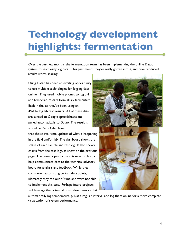## **Technology development highlights: fermentation**

Over the past few months, the fermentation team has been implementing the online Datao system to seamlessly log data. This past month they've really gotten into it, and have produced results worth sharing!

Using Datao has been an exciting opportunity to use multiple technologies for logging data online. They used mobile phones to log pH and temperature data from all six fermenters. Back in the lab they've been using an iPad to log lab test results. All of these data are synced to Google spreadsheets and pulled automatically to Datao. The result is an online FS2BD dashboard

that shows real-time updates of what is happening in the field and/or lab. The dashboard shows the status of each sample and test log. It also shows charts from the test logs, as show on the previous page. The team hopes to use this new display to help communicate data to the technical advisory board for analysis and feedback. While they considered automating certain data points, ultimately, they ran out of time and were not able to implement this step. Perhaps future projects will leverage the potential of wireless sensors that





automatically log temperature, pH, at a regular interval and log them online for a more complete visualization of system performance.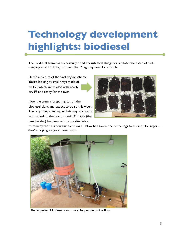# **Technology development highlights: biodiesel**

The biodiesel team has successfully dried enough fecal sludge for a pilot-scale batch of fuel… weighing in at 16.38 kg, just over the 15 kg they need for a batch.

Here's a picture of the final drying scheme: You're looking at small trays made of tin foil, which are loaded with nearly dry FS and ready for the oven.

Now the team is preparing to run the biodiesel plant, and expect to do so this week. The only thing standing in their way is a pretty serious leak in the reactor tank. Montale (the tank builder) has been out to the site twice



to remedy the situation, but to no avail. Now he's taken one of the legs to his shop for repair… they're hoping for good news soon.



The imperfect biodiesel tank…note the puddle on the floor.